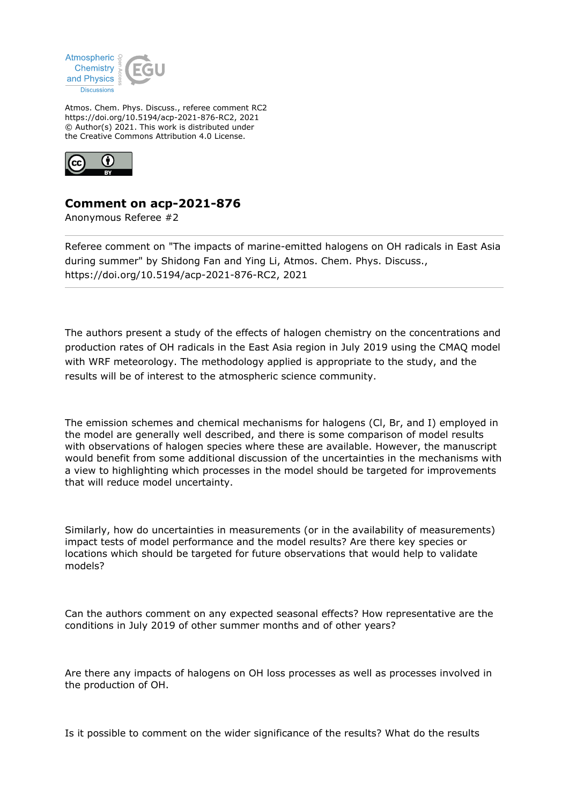

Atmos. Chem. Phys. Discuss., referee comment RC2 https://doi.org/10.5194/acp-2021-876-RC2, 2021 © Author(s) 2021. This work is distributed under the Creative Commons Attribution 4.0 License.



## **Comment on acp-2021-876**

Anonymous Referee #2

Referee comment on "The impacts of marine-emitted halogens on OH radicals in East Asia during summer" by Shidong Fan and Ying Li, Atmos. Chem. Phys. Discuss., https://doi.org/10.5194/acp-2021-876-RC2, 2021

The authors present a study of the effects of halogen chemistry on the concentrations and production rates of OH radicals in the East Asia region in July 2019 using the CMAQ model with WRF meteorology. The methodology applied is appropriate to the study, and the results will be of interest to the atmospheric science community.

The emission schemes and chemical mechanisms for halogens (Cl, Br, and I) employed in the model are generally well described, and there is some comparison of model results with observations of halogen species where these are available. However, the manuscript would benefit from some additional discussion of the uncertainties in the mechanisms with a view to highlighting which processes in the model should be targeted for improvements that will reduce model uncertainty.

Similarly, how do uncertainties in measurements (or in the availability of measurements) impact tests of model performance and the model results? Are there key species or locations which should be targeted for future observations that would help to validate models?

Can the authors comment on any expected seasonal effects? How representative are the conditions in July 2019 of other summer months and of other years?

Are there any impacts of halogens on OH loss processes as well as processes involved in the production of OH.

Is it possible to comment on the wider significance of the results? What do the results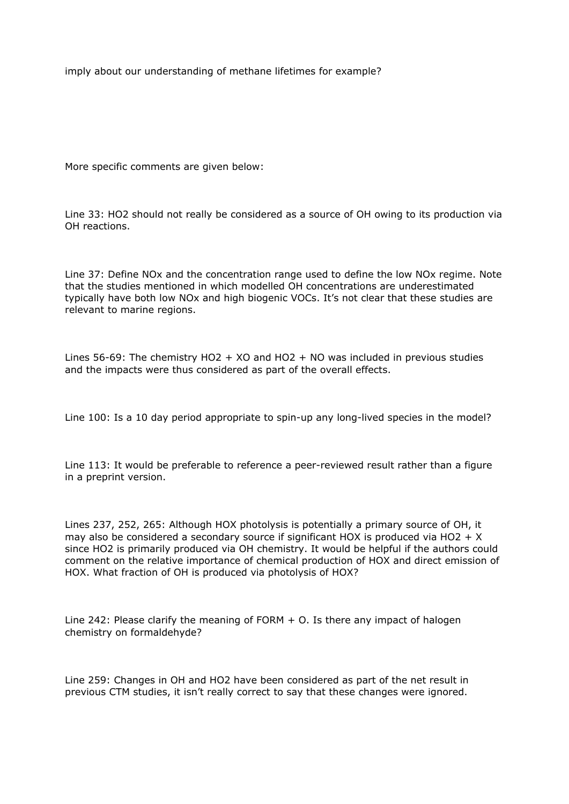imply about our understanding of methane lifetimes for example?

More specific comments are given below:

Line 33: HO2 should not really be considered as a source of OH owing to its production via OH reactions.

Line 37: Define NOx and the concentration range used to define the low NOx regime. Note that the studies mentioned in which modelled OH concentrations are underestimated typically have both low NOx and high biogenic VOCs. It's not clear that these studies are relevant to marine regions.

Lines 56-69: The chemistry HO2 + XO and HO2 + NO was included in previous studies and the impacts were thus considered as part of the overall effects.

Line 100: Is a 10 day period appropriate to spin-up any long-lived species in the model?

Line 113: It would be preferable to reference a peer-reviewed result rather than a figure in a preprint version.

Lines 237, 252, 265: Although HOX photolysis is potentially a primary source of OH, it may also be considered a secondary source if significant HOX is produced via HO2 +  $X$ since HO2 is primarily produced via OH chemistry. It would be helpful if the authors could comment on the relative importance of chemical production of HOX and direct emission of HOX. What fraction of OH is produced via photolysis of HOX?

Line 242: Please clarify the meaning of FORM  $+$  O. Is there any impact of halogen chemistry on formaldehyde?

Line 259: Changes in OH and HO2 have been considered as part of the net result in previous CTM studies, it isn't really correct to say that these changes were ignored.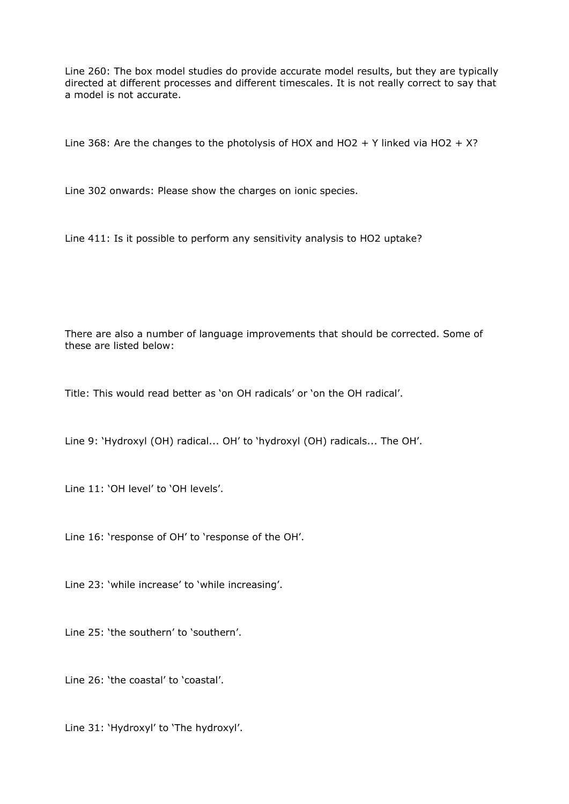Line 260: The box model studies do provide accurate model results, but they are typically directed at different processes and different timescales. It is not really correct to say that a model is not accurate.

Line 368: Are the changes to the photolysis of HOX and HO2 + Y linked via HO2 + X?

Line 302 onwards: Please show the charges on ionic species.

Line 411: Is it possible to perform any sensitivity analysis to HO2 uptake?

There are also a number of language improvements that should be corrected. Some of these are listed below:

Title: This would read better as 'on OH radicals' or 'on the OH radical'.

Line 9: 'Hydroxyl (OH) radical... OH' to 'hydroxyl (OH) radicals... The OH'.

Line 11: 'OH level' to 'OH levels'.

Line 16: 'response of OH' to 'response of the OH'.

Line 23: 'while increase' to 'while increasing'.

Line 25: 'the southern' to 'southern'.

Line 26: 'the coastal' to 'coastal'.

Line 31: 'Hydroxyl' to 'The hydroxyl'.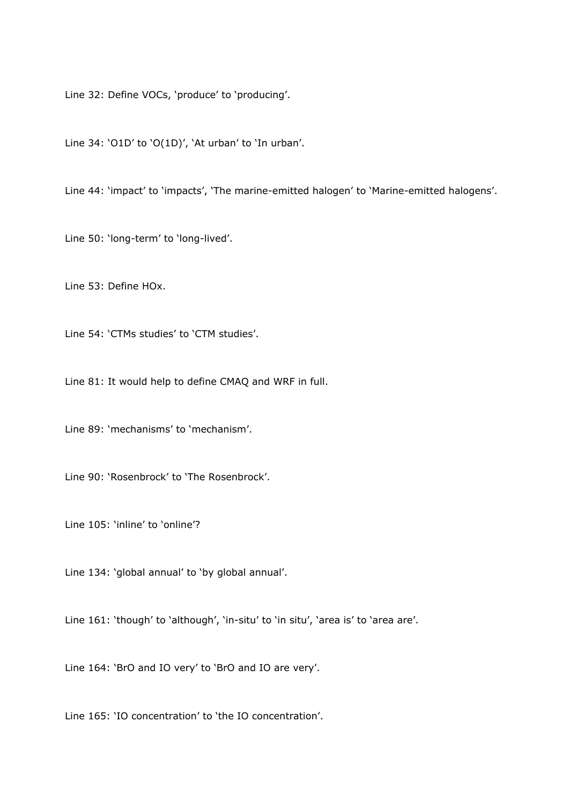Line 32: Define VOCs, 'produce' to 'producing'.

Line 34: 'O1D' to 'O(1D)', 'At urban' to 'In urban'.

Line 44: 'impact' to 'impacts', 'The marine-emitted halogen' to 'Marine-emitted halogens'.

Line 50: 'long-term' to 'long-lived'.

Line 53: Define HOx.

Line 54: 'CTMs studies' to 'CTM studies'.

Line 81: It would help to define CMAQ and WRF in full.

Line 89: 'mechanisms' to 'mechanism'.

Line 90: 'Rosenbrock' to 'The Rosenbrock'.

Line 105: 'inline' to 'online'?

Line 134: 'global annual' to 'by global annual'.

Line 161: 'though' to 'although', 'in-situ' to 'in situ', 'area is' to 'area are'.

Line 164: 'BrO and IO very' to 'BrO and IO are very'.

Line 165: 'IO concentration' to 'the IO concentration'.